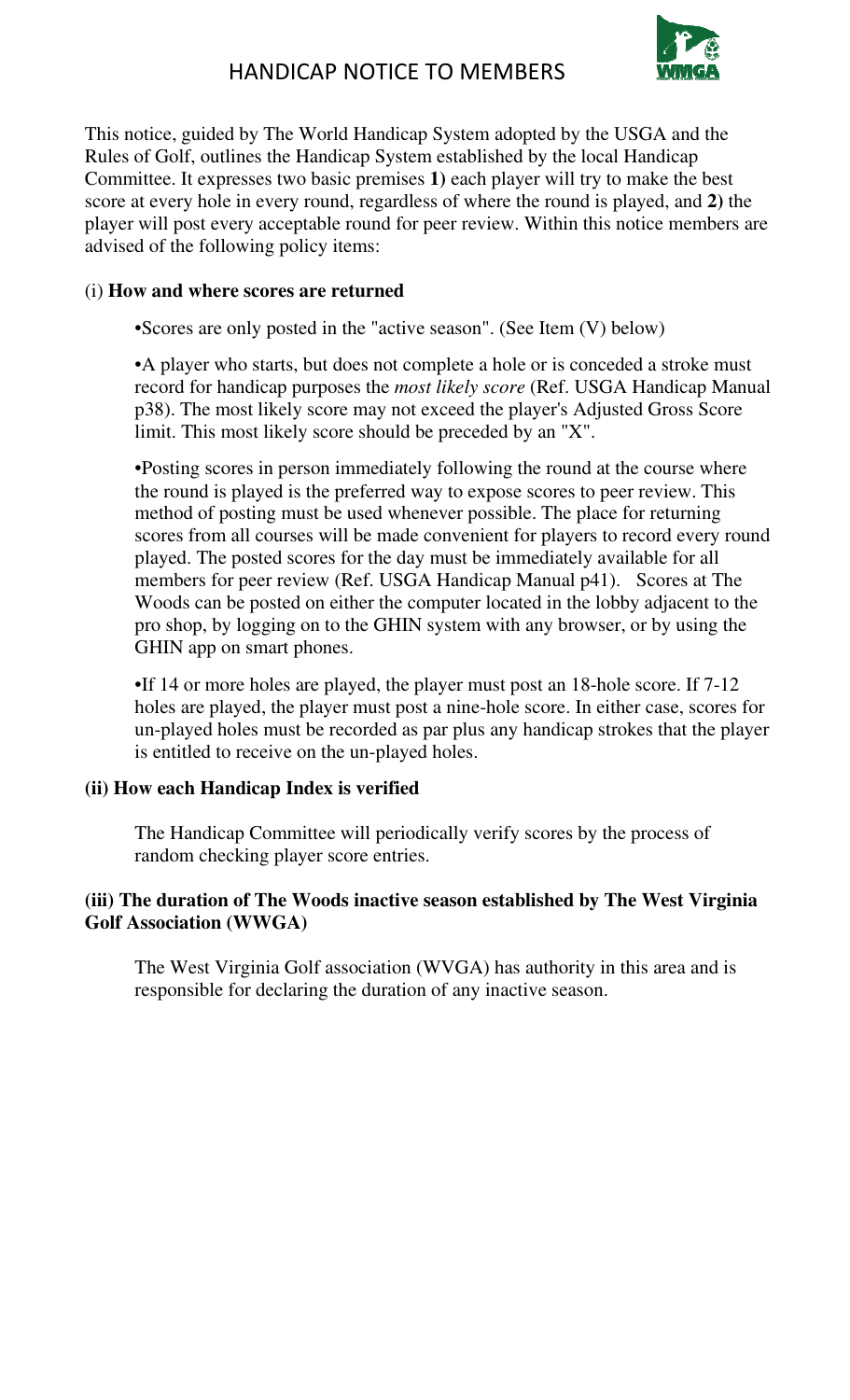

This notice, guided by The World Handicap System adopted by the USGA and the Rules of Golf, outlines the Handicap System established by the local Handicap Committee. It expresses two basic premises **1)** each player will try to make the best score at every hole in every round, regardless of where the round is played, and **2)** the player will post every acceptable round for peer review. Within this notice members are advised of the following policy items:

## (i) **How and where scores are returned**

•Scores are only posted in the "active season". (See Item (V) below)

•A player who starts, but does not complete a hole or is conceded a stroke must record for handicap purposes the *most likely score* (Ref. USGA Handicap Manual p38). The most likely score may not exceed the player's Adjusted Gross Score limit. This most likely score should be preceded by an "X".

•Posting scores in person immediately following the round at the course where the round is played is the preferred way to expose scores to peer review. This method of posting must be used whenever possible. The place for returning scores from all courses will be made convenient for players to record every round played. The posted scores for the day must be immediately available for all members for peer review (Ref. USGA Handicap Manual p41). Scores at The Woods can be posted on either the computer located in the lobby adjacent to the pro shop, by logging on to the GHIN system with any browser, or by using the GHIN app on smart phones.

•If 14 or more holes are played, the player must post an 18-hole score. If 7-12 holes are played, the player must post a nine-hole score. In either case, scores for un-played holes must be recorded as par plus any handicap strokes that the player is entitled to receive on the un-played holes.

## **(ii) How each Handicap Index is verified**

The Handicap Committee will periodically verify scores by the process of random checking player score entries.

#### **(iii) The duration of The Woods inactive season established by The West Virginia Golf Association (WWGA)**

The West Virginia Golf association (WVGA) has authority in this area and is responsible for declaring the duration of any inactive season.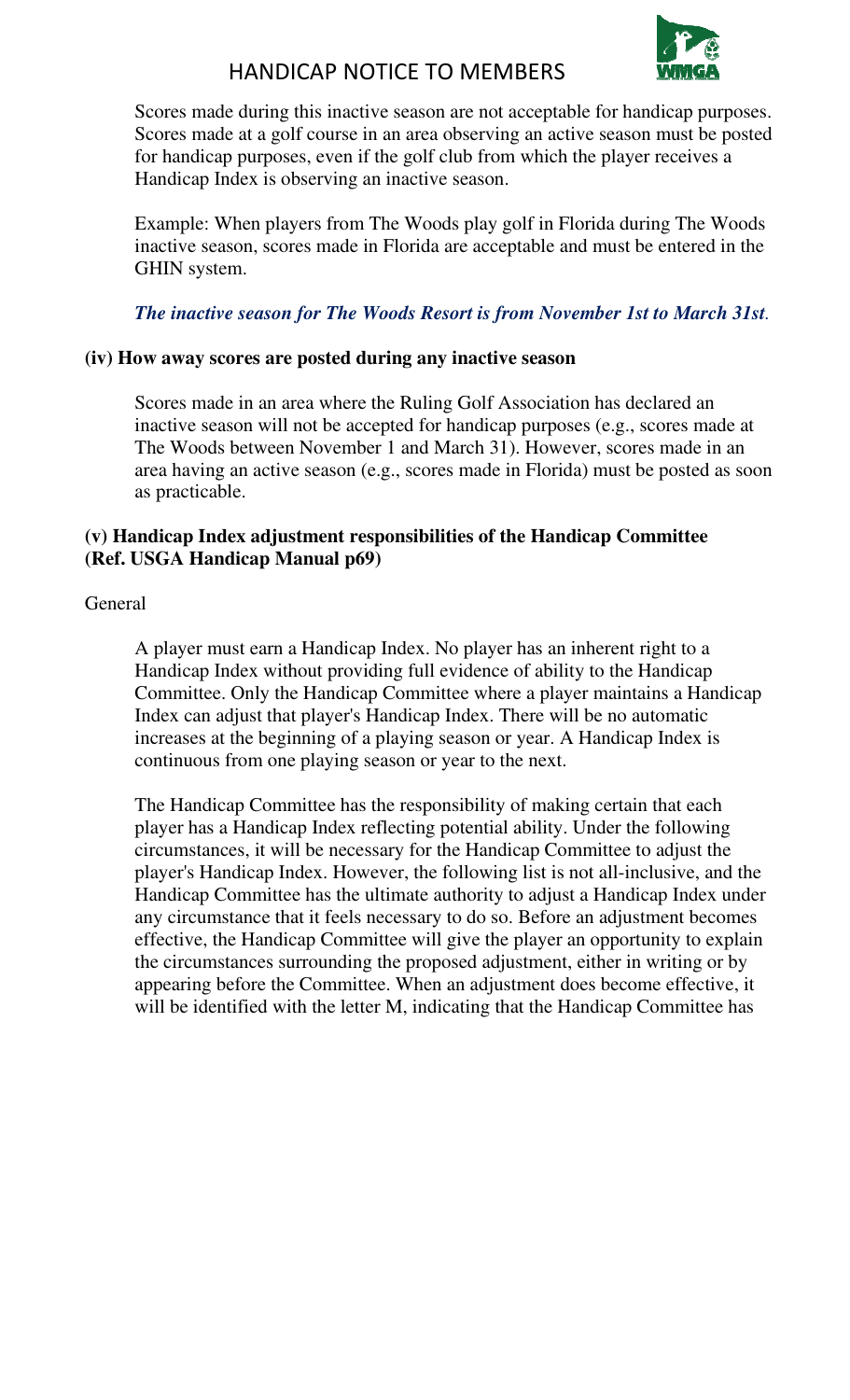

## HANDICAP NOTICE TO MEMBERS

Scores made during this inactive season are not acceptable for handicap purposes. Scores made at a golf course in an area observing an active season must be posted for handicap purposes, even if the golf club from which the player receives a Handicap Index is observing an inactive season.

Example: When players from The Woods play golf in Florida during The Woods inactive season, scores made in Florida are acceptable and must be entered in the GHIN system.

## *The inactive season for The Woods Resort is from November 1st to March 31st.*

#### **(iv) How away scores are posted during any inactive season**

Scores made in an area where the Ruling Golf Association has declared an inactive season will not be accepted for handicap purposes (e.g., scores made at The Woods between November 1 and March 31). However, scores made in an area having an active season (e.g., scores made in Florida) must be posted as soon as practicable.

#### **(v) Handicap Index adjustment responsibilities of the Handicap Committee (Ref. USGA Handicap Manual p69)**

**General** 

A player must earn a Handicap Index. No player has an inherent right to a Handicap Index without providing full evidence of ability to the Handicap Committee. Only the Handicap Committee where a player maintains a Handicap Index can adjust that player's Handicap Index. There will be no automatic increases at the beginning of a playing season or year. A Handicap Index is continuous from one playing season or year to the next.

The Handicap Committee has the responsibility of making certain that each player has a Handicap Index reflecting potential ability. Under the following circumstances, it will be necessary for the Handicap Committee to adjust the player's Handicap Index. However, the following list is not all-inclusive, and the Handicap Committee has the ultimate authority to adjust a Handicap Index under any circumstance that it feels necessary to do so. Before an adjustment becomes effective, the Handicap Committee will give the player an opportunity to explain the circumstances surrounding the proposed adjustment, either in writing or by appearing before the Committee. When an adjustment does become effective, it will be identified with the letter M, indicating that the Handicap Committee has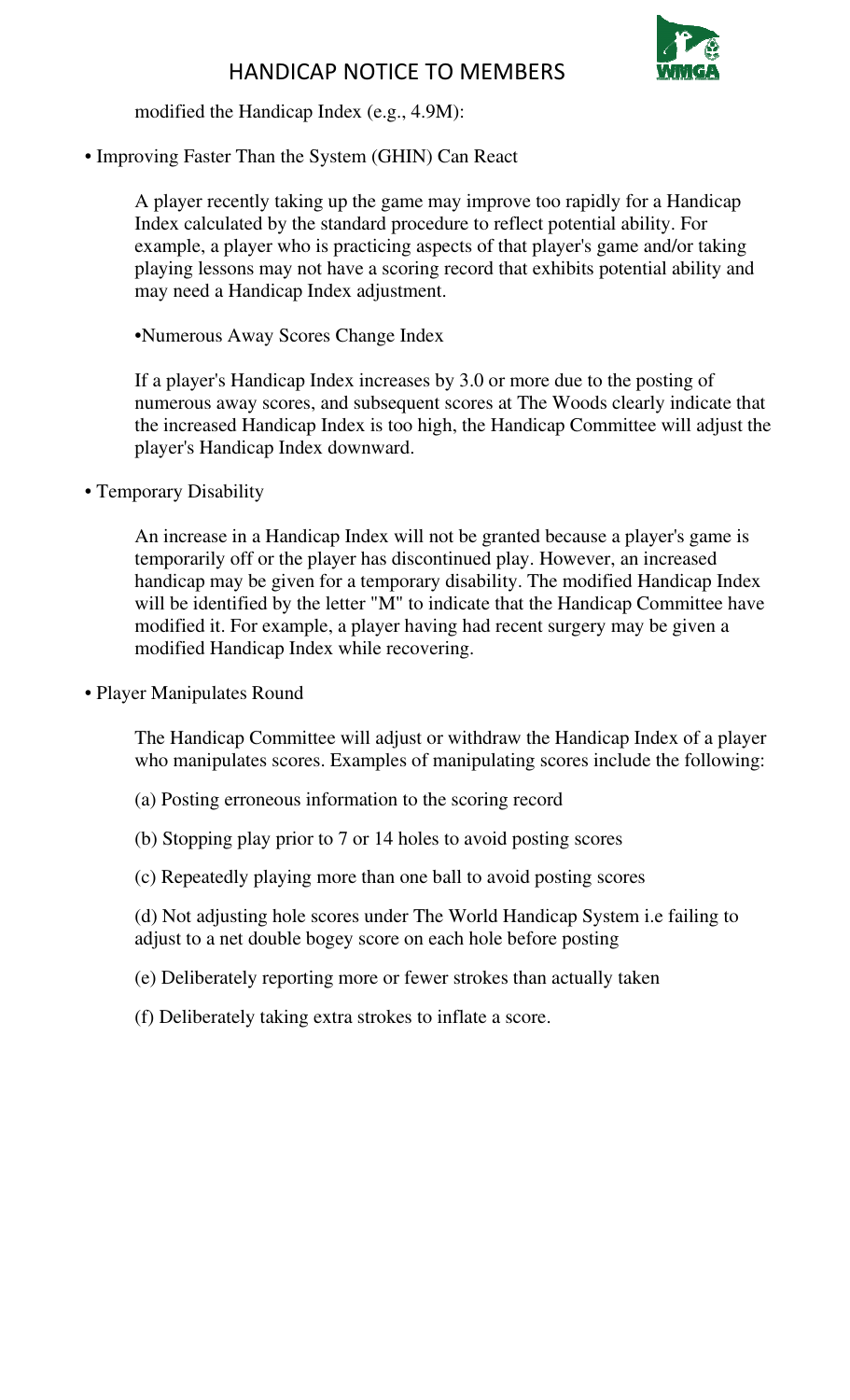

modified the Handicap Index (e.g., 4.9M):

• Improving Faster Than the System (GHIN) Can React

A player recently taking up the game may improve too rapidly for a Handicap Index calculated by the standard procedure to reflect potential ability. For example, a player who is practicing aspects of that player's game and/or taking playing lessons may not have a scoring record that exhibits potential ability and may need a Handicap Index adjustment.

•Numerous Away Scores Change Index

If a player's Handicap Index increases by 3.0 or more due to the posting of numerous away scores, and subsequent scores at The Woods clearly indicate that the increased Handicap Index is too high, the Handicap Committee will adjust the player's Handicap Index downward.

• Temporary Disability

An increase in a Handicap Index will not be granted because a player's game is temporarily off or the player has discontinued play. However, an increased handicap may be given for a temporary disability. The modified Handicap Index will be identified by the letter "M" to indicate that the Handicap Committee have modified it. For example, a player having had recent surgery may be given a modified Handicap Index while recovering.

• Player Manipulates Round

The Handicap Committee will adjust or withdraw the Handicap Index of a player who manipulates scores. Examples of manipulating scores include the following:

- (a) Posting erroneous information to the scoring record
- (b) Stopping play prior to 7 or 14 holes to avoid posting scores
- (c) Repeatedly playing more than one ball to avoid posting scores

(d) Not adjusting hole scores under The World Handicap System i.e failing to adjust to a net double bogey score on each hole before posting

- (e) Deliberately reporting more or fewer strokes than actually taken
- (f) Deliberately taking extra strokes to inflate a score.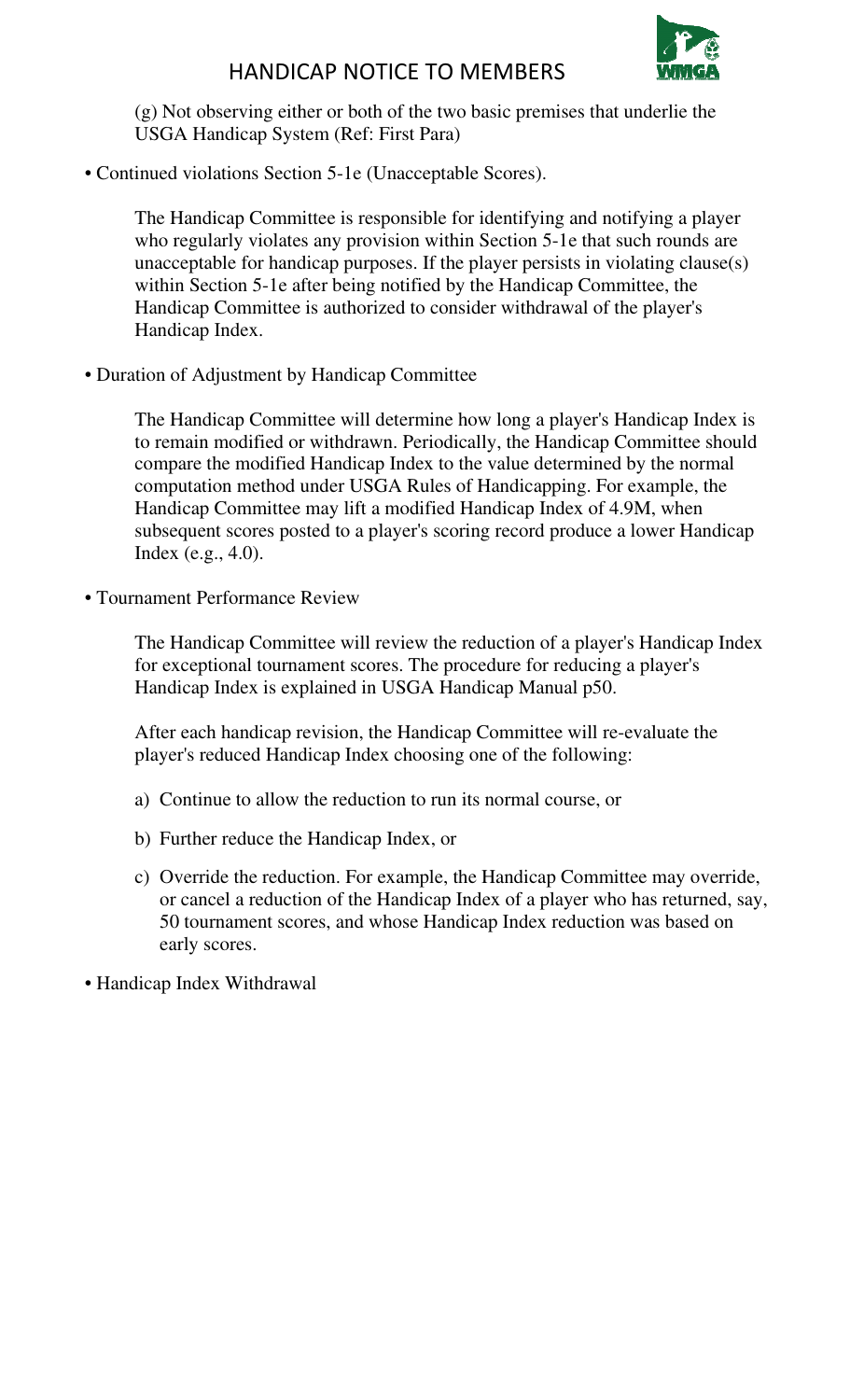

## HANDICAP NOTICE TO MEMBERS

(g) Not observing either or both of the two basic premises that underlie the USGA Handicap System (Ref: First Para)

• Continued violations Section 5-1e (Unacceptable Scores).

The Handicap Committee is responsible for identifying and notifying a player who regularly violates any provision within Section 5-1e that such rounds are unacceptable for handicap purposes. If the player persists in violating clause(s) within Section 5-1e after being notified by the Handicap Committee, the Handicap Committee is authorized to consider withdrawal of the player's Handicap Index.

• Duration of Adjustment by Handicap Committee

The Handicap Committee will determine how long a player's Handicap Index is to remain modified or withdrawn. Periodically, the Handicap Committee should compare the modified Handicap Index to the value determined by the normal computation method under USGA Rules of Handicapping. For example, the Handicap Committee may lift a modified Handicap Index of 4.9M, when subsequent scores posted to a player's scoring record produce a lower Handicap Index (e.g., 4.0).

• Tournament Performance Review

The Handicap Committee will review the reduction of a player's Handicap Index for exceptional tournament scores. The procedure for reducing a player's Handicap Index is explained in USGA Handicap Manual p50.

After each handicap revision, the Handicap Committee will re-evaluate the player's reduced Handicap Index choosing one of the following:

- a) Continue to allow the reduction to run its normal course, or
- b) Further reduce the Handicap Index, or
- c) Override the reduction. For example, the Handicap Committee may override, or cancel a reduction of the Handicap Index of a player who has returned, say, 50 tournament scores, and whose Handicap Index reduction was based on early scores.

• Handicap Index Withdrawal